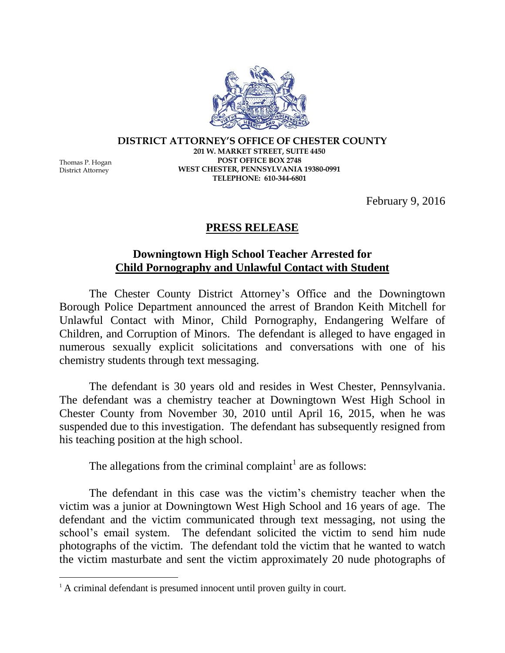Thomas P. Hogan District Attorney

 $\overline{a}$ 

**DISTRICT ATTORNEY'S OFFICE OF CHESTER COUNTY 201 W. MARKET STREET, SUITE 4450 POST OFFICE BOX 2748 WEST CHESTER, PENNSYLVANIA 19380-0991 TELEPHONE: 610-344-6801**

February 9, 2016

## **PRESS RELEASE**

## **Downingtown High School Teacher Arrested for Child Pornography and Unlawful Contact with Student**

The Chester County District Attorney's Office and the Downingtown Borough Police Department announced the arrest of Brandon Keith Mitchell for Unlawful Contact with Minor, Child Pornography, Endangering Welfare of Children, and Corruption of Minors. The defendant is alleged to have engaged in numerous sexually explicit solicitations and conversations with one of his chemistry students through text messaging.

The defendant is 30 years old and resides in West Chester, Pennsylvania. The defendant was a chemistry teacher at Downingtown West High School in Chester County from November 30, 2010 until April 16, 2015, when he was suspended due to this investigation. The defendant has subsequently resigned from his teaching position at the high school.

The allegations from the criminal complaint<sup>1</sup> are as follows:

The defendant in this case was the victim's chemistry teacher when the victim was a junior at Downingtown West High School and 16 years of age. The defendant and the victim communicated through text messaging, not using the school's email system. The defendant solicited the victim to send him nude photographs of the victim. The defendant told the victim that he wanted to watch the victim masturbate and sent the victim approximately 20 nude photographs of

<sup>&</sup>lt;sup>1</sup> A criminal defendant is presumed innocent until proven guilty in court.